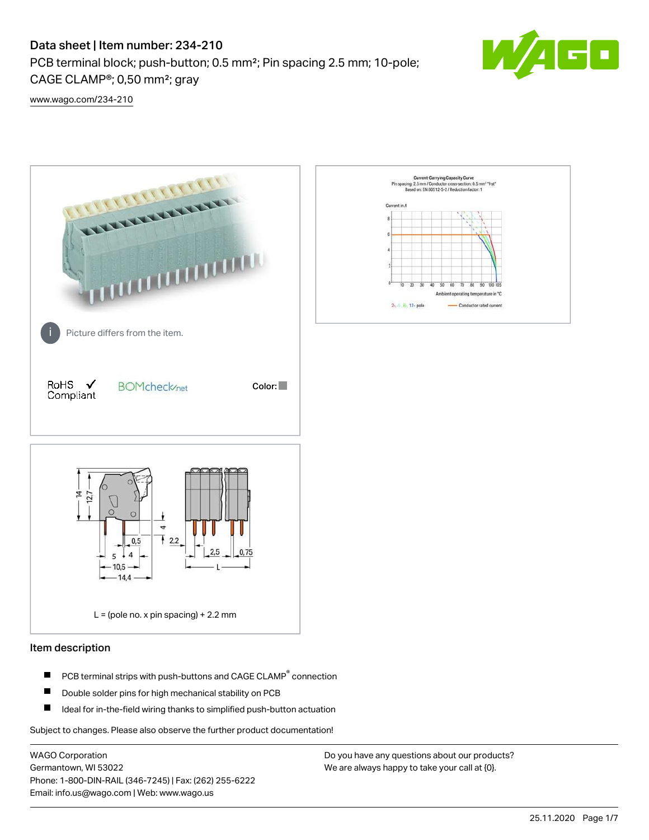# Data sheet | Item number: 234-210

PCB terminal block; push-button; 0.5 mm²; Pin spacing 2.5 mm; 10-pole; CAGE CLAMP®; 0,50 mm²; gray



[www.wago.com/234-210](http://www.wago.com/234-210)



#### Item description

- PCB terminal strips with push-buttons and CAGE CLAMP<sup>®</sup> connection П
- П Double solder pins for high mechanical stability on PCB
- П Ideal for in-the-field wiring thanks to simplified push-button actuation

Subject to changes. Please also observe the further product documentation!

WAGO Corporation Germantown, WI 53022 Phone: 1-800-DIN-RAIL (346-7245) | Fax: (262) 255-6222 Email: info.us@wago.com | Web: www.wago.us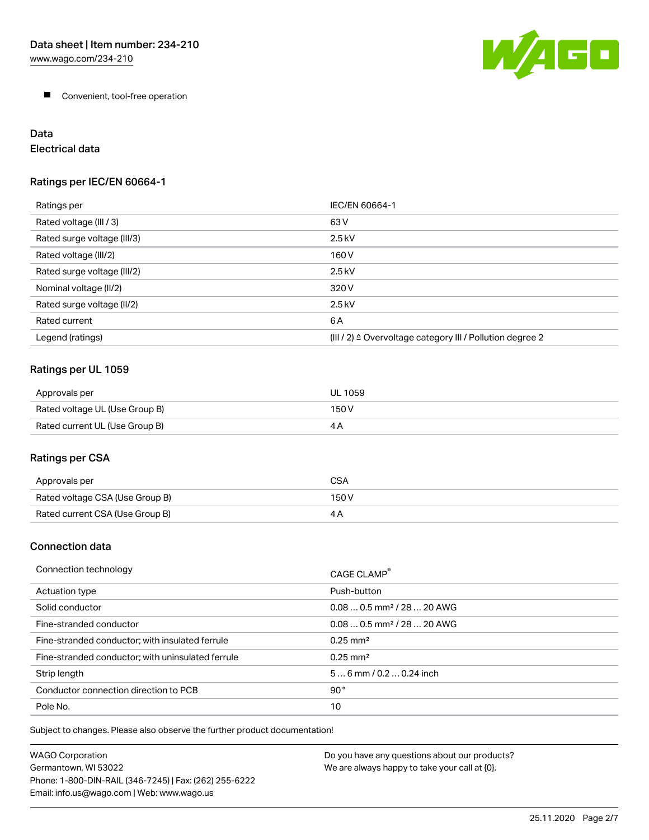

**Convenient, tool-free operation** 

# Data

# Electrical data

## Ratings per IEC/EN 60664-1

| Ratings per                 | IEC/EN 60664-1                                                        |
|-----------------------------|-----------------------------------------------------------------------|
| Rated voltage (III / 3)     | 63 V                                                                  |
| Rated surge voltage (III/3) | $2.5$ kV                                                              |
| Rated voltage (III/2)       | 160 V                                                                 |
| Rated surge voltage (III/2) | $2.5$ kV                                                              |
| Nominal voltage (II/2)      | 320 V                                                                 |
| Rated surge voltage (II/2)  | $2.5$ kV                                                              |
| Rated current               | 6 A                                                                   |
| Legend (ratings)            | $(III / 2)$ $\triangle$ Overvoltage category III / Pollution degree 2 |

#### Ratings per UL 1059

| Approvals per                  | UL 1059 |
|--------------------------------|---------|
| Rated voltage UL (Use Group B) | 150 V   |
| Rated current UL (Use Group B) | 4 P     |

# Ratings per CSA

| Approvals per                   | CSA   |
|---------------------------------|-------|
| Rated voltage CSA (Use Group B) | 150 V |
| Rated current CSA (Use Group B) |       |

#### Connection data

| Connection technology                             | CAGE CLAMP                             |
|---------------------------------------------------|----------------------------------------|
| Actuation type                                    | Push-button                            |
| Solid conductor                                   | $0.080.5$ mm <sup>2</sup> / 28  20 AWG |
| Fine-stranded conductor                           | $0.080.5$ mm <sup>2</sup> / 28  20 AWG |
| Fine-stranded conductor; with insulated ferrule   | $0.25 \text{ mm}^2$                    |
| Fine-stranded conductor; with uninsulated ferrule | $0.25 \text{ mm}^2$                    |
| Strip length                                      | $56$ mm $/ 0.20.24$ inch               |
| Conductor connection direction to PCB             | $90^{\circ}$                           |
| Pole No.                                          | 10                                     |

Subject to changes. Please also observe the further product documentation!

| <b>WAGO Corporation</b>                                | Do you have any questions about our products? |
|--------------------------------------------------------|-----------------------------------------------|
| Germantown, WI 53022                                   | We are always happy to take your call at {0}. |
| Phone: 1-800-DIN-RAIL (346-7245)   Fax: (262) 255-6222 |                                               |
| Email: info.us@wago.com   Web: www.wago.us             |                                               |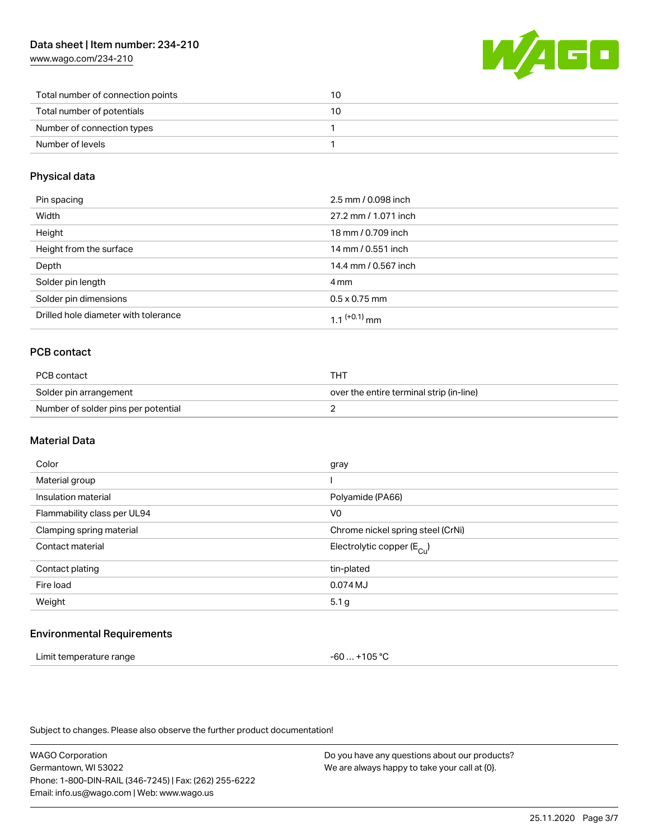[www.wago.com/234-210](http://www.wago.com/234-210)



| Total number of connection points | 10 |
|-----------------------------------|----|
| Total number of potentials        | 10 |
| Number of connection types        |    |
| Number of levels                  |    |

#### Physical data

| Pin spacing                          | 2.5 mm / 0.098 inch  |
|--------------------------------------|----------------------|
| Width                                | 27.2 mm / 1.071 inch |
| Height                               | 18 mm / 0.709 inch   |
| Height from the surface              | 14 mm / 0.551 inch   |
| Depth                                | 14.4 mm / 0.567 inch |
| Solder pin length                    | 4 mm                 |
| Solder pin dimensions                | $0.5 \times 0.75$ mm |
| Drilled hole diameter with tolerance | 1 1 $(+0.1)$ mm      |

## PCB contact

| PCB contact                         | THT                                      |
|-------------------------------------|------------------------------------------|
| Solder pin arrangement              | over the entire terminal strip (in-line) |
| Number of solder pins per potential |                                          |

#### Material Data

| Color                       | gray                                   |
|-----------------------------|----------------------------------------|
| Material group              |                                        |
| Insulation material         | Polyamide (PA66)                       |
| Flammability class per UL94 | V <sub>0</sub>                         |
| Clamping spring material    | Chrome nickel spring steel (CrNi)      |
| Contact material            | Electrolytic copper (E <sub>Cu</sub> ) |
| Contact plating             | tin-plated                             |
| Fire load                   | 0.074 MJ                               |
| Weight                      | 5.1 g                                  |
|                             |                                        |

#### Environmental Requirements

| Limit temperature range | -60  +105 °C |
|-------------------------|--------------|
|-------------------------|--------------|

Subject to changes. Please also observe the further product documentation!

WAGO Corporation Germantown, WI 53022 Phone: 1-800-DIN-RAIL (346-7245) | Fax: (262) 255-6222 Email: info.us@wago.com | Web: www.wago.us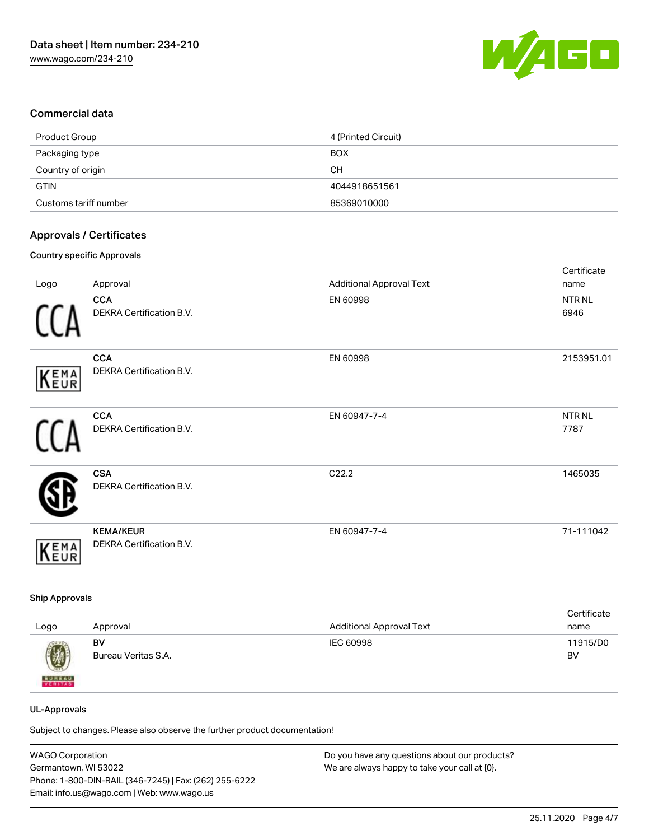

#### Commercial data

| Product Group         | 4 (Printed Circuit) |
|-----------------------|---------------------|
| Packaging type        | <b>BOX</b>          |
| Country of origin     | CН                  |
| <b>GTIN</b>           | 4044918651561       |
| Customs tariff number | 85369010000         |

#### Approvals / Certificates

#### Country specific Approvals

|             |                                              |                                 | Certificate               |
|-------------|----------------------------------------------|---------------------------------|---------------------------|
| Logo        | Approval                                     | <b>Additional Approval Text</b> | name                      |
|             | <b>CCA</b><br>DEKRA Certification B.V.       | EN 60998                        | NTR <sub>NL</sub><br>6946 |
| KEMA        | <b>CCA</b><br>DEKRA Certification B.V.       | EN 60998                        | 2153951.01                |
|             | <b>CCA</b><br>DEKRA Certification B.V.       | EN 60947-7-4                    | NTR <sub>NL</sub><br>7787 |
|             | <b>CSA</b><br>DEKRA Certification B.V.       | C22.2                           | 1465035                   |
| <b>KEMA</b> | <b>KEMA/KEUR</b><br>DEKRA Certification B.V. | EN 60947-7-4                    | 71-111042                 |

#### Ship Approvals

| Logo                                                                                                                                                                                                                                                                                                                                                                                                                                                                                | Approval            | <b>Additional Approval Text</b> | Certificate<br>name |
|-------------------------------------------------------------------------------------------------------------------------------------------------------------------------------------------------------------------------------------------------------------------------------------------------------------------------------------------------------------------------------------------------------------------------------------------------------------------------------------|---------------------|---------------------------------|---------------------|
| $\bigcirc\!\!\!\!\! \bigcirc\!\!\!\!\! \bigcirc\!\!\!\!\! \bigcirc\!\!\!\!\! \bigcirc\!\!\!\!\! \bigcirc\!\!\!\!\! \bigcirc\!\!\!\!\! \bigcirc\!\!\!\!\! \bigcirc\!\!\!\!\! \bigcirc\!\!\!\!\! \bigcirc\!\!\!\!\! \bigcirc\!\!\!\!\! \bigcirc\!\!\!\!\! \bigcirc\!\!\!\!\! \bigcirc\!\!\!\!\! \bigcirc\!\!\!\!\! \bigcirc\!\!\!\!\! \bigcirc\!\!\!\!\! \bigcirc\!\!\!\!\! \bigcirc\!\!\!\!\! \bigcirc\!\!\!\!\! \bigcirc\!\!\!\!\! \bigcirc\!\!\!\!\! \bigcirc\!\!\!\!\! \bigcirc\$ | BV                  | IEC 60998                       | 11915/D0            |
| <b>BUREAU</b>                                                                                                                                                                                                                                                                                                                                                                                                                                                                       | Bureau Veritas S.A. |                                 | BV                  |

#### UL-Approvals

Subject to changes. Please also observe the further product documentation!

| <b>WAGO Corporation</b>                                | Do you have any questions about our products? |
|--------------------------------------------------------|-----------------------------------------------|
| Germantown, WI 53022                                   | We are always happy to take your call at {0}. |
| Phone: 1-800-DIN-RAIL (346-7245)   Fax: (262) 255-6222 |                                               |
| Email: info.us@wago.com   Web: www.wago.us             |                                               |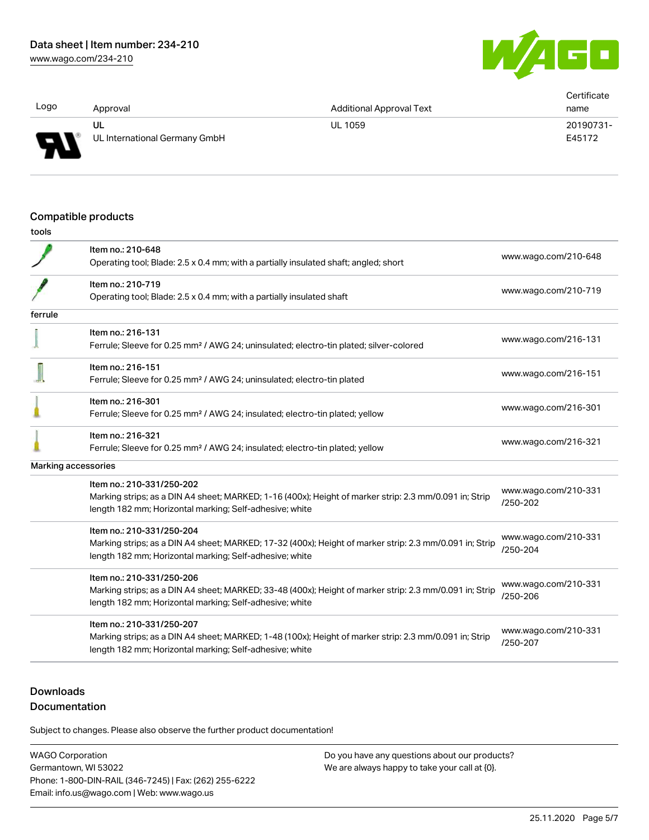G O

| Logo | Approval                            | <b>Additional Approval Text</b> | Certificate<br>name |
|------|-------------------------------------|---------------------------------|---------------------|
| R    | UL<br>UL International Germany GmbH | <b>UL 1059</b>                  | 20190731-<br>E45172 |

#### Compatible products

| I<br>۰.<br>. .<br>v<br>- 1<br>v<br>v<br>o esta |
|------------------------------------------------|
|------------------------------------------------|

|         | Item no.: 210-648                                                                                       |                                  |
|---------|---------------------------------------------------------------------------------------------------------|----------------------------------|
|         | Operating tool; Blade: 2.5 x 0.4 mm; with a partially insulated shaft; angled; short                    | www.wago.com/210-648             |
|         | Item no.: 210-719                                                                                       |                                  |
|         | Operating tool; Blade: 2.5 x 0.4 mm; with a partially insulated shaft                                   | www.wago.com/210-719             |
| ferrule |                                                                                                         |                                  |
|         | Item no.: 216-131                                                                                       |                                  |
|         | Ferrule; Sleeve for 0.25 mm <sup>2</sup> / AWG 24; uninsulated; electro-tin plated; silver-colored      | www.wago.com/216-131             |
|         | Item no.: 216-151                                                                                       |                                  |
|         | Ferrule; Sleeve for 0.25 mm <sup>2</sup> / AWG 24; uninsulated; electro-tin plated                      | www.wago.com/216-151             |
|         | Item no.: 216-301                                                                                       |                                  |
|         | Ferrule; Sleeve for 0.25 mm <sup>2</sup> / AWG 24; insulated; electro-tin plated; yellow                | www.wago.com/216-301             |
|         | Item no.: 216-321                                                                                       | www.wago.com/216-321             |
|         | Ferrule; Sleeve for 0.25 mm <sup>2</sup> / AWG 24; insulated; electro-tin plated; yellow                |                                  |
|         | Marking accessories                                                                                     |                                  |
|         | Item no.: 210-331/250-202                                                                               |                                  |
|         | Marking strips; as a DIN A4 sheet; MARKED; 1-16 (400x); Height of marker strip: 2.3 mm/0.091 in; Strip  | www.wago.com/210-331<br>/250-202 |
|         | length 182 mm; Horizontal marking; Self-adhesive; white                                                 |                                  |
|         | Item no.: 210-331/250-204                                                                               | www.wago.com/210-331             |
|         | Marking strips; as a DIN A4 sheet; MARKED; 17-32 (400x); Height of marker strip: 2.3 mm/0.091 in; Strip | /250-204                         |
|         | length 182 mm; Horizontal marking; Self-adhesive; white                                                 |                                  |
|         | Item no.: 210-331/250-206                                                                               | www.wago.com/210-331             |
|         | Marking strips; as a DIN A4 sheet; MARKED; 33-48 (400x); Height of marker strip: 2.3 mm/0.091 in; Strip | /250-206                         |
|         | length 182 mm; Horizontal marking; Self-adhesive; white                                                 |                                  |
|         | Item no.: 210-331/250-207                                                                               | www.wago.com/210-331             |
|         | Marking strips; as a DIN A4 sheet; MARKED; 1-48 (100x); Height of marker strip: 2.3 mm/0.091 in; Strip  | /250-207                         |
|         | length 182 mm; Horizontal marking; Self-adhesive; white                                                 |                                  |
|         |                                                                                                         |                                  |

# **Downloads**

## Documentation

Subject to changes. Please also observe the further product documentation!

WAGO Corporation Germantown, WI 53022 Phone: 1-800-DIN-RAIL (346-7245) | Fax: (262) 255-6222 Email: info.us@wago.com | Web: www.wago.us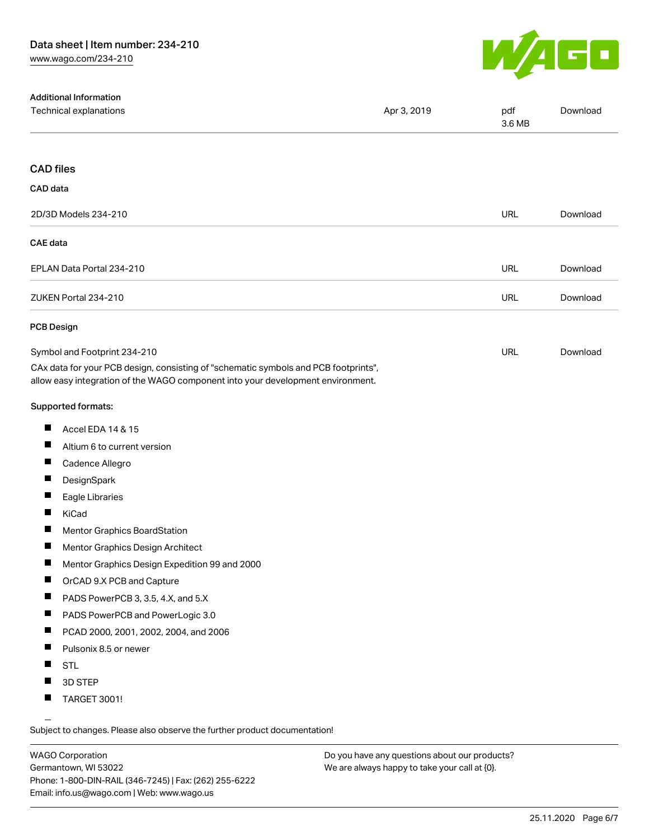

| <b>Additional Information</b><br>Technical explanations                                                                                                                | Apr 3, 2019 | pdf<br>3.6 MB | Download |
|------------------------------------------------------------------------------------------------------------------------------------------------------------------------|-------------|---------------|----------|
| <b>CAD files</b>                                                                                                                                                       |             |               |          |
| CAD data                                                                                                                                                               |             |               |          |
| 2D/3D Models 234-210                                                                                                                                                   |             | <b>URL</b>    | Download |
| <b>CAE</b> data                                                                                                                                                        |             |               |          |
| EPLAN Data Portal 234-210                                                                                                                                              |             | <b>URL</b>    | Download |
| ZUKEN Portal 234-210                                                                                                                                                   |             | <b>URL</b>    | Download |
| <b>PCB Design</b>                                                                                                                                                      |             |               |          |
| Symbol and Footprint 234-210                                                                                                                                           |             | <b>URL</b>    | Download |
| CAx data for your PCB design, consisting of "schematic symbols and PCB footprints",<br>allow easy integration of the WAGO component into your development environment. |             |               |          |
| <b>Supported formats:</b>                                                                                                                                              |             |               |          |
| П<br>Accel EDA 14 & 15                                                                                                                                                 |             |               |          |
| ш<br>Altium 6 to current version                                                                                                                                       |             |               |          |
| ш<br>Cadence Allegro                                                                                                                                                   |             |               |          |
| DesignSpark                                                                                                                                                            |             |               |          |
| ш<br>Eagle Libraries                                                                                                                                                   |             |               |          |
| ш<br>KiCad                                                                                                                                                             |             |               |          |
| Mentor Graphics BoardStation                                                                                                                                           |             |               |          |
| Mentor Graphics Design Architect                                                                                                                                       |             |               |          |
| Mentor Graphics Design Expedition 99 and 2000                                                                                                                          |             |               |          |
| ш<br>OrCAD 9.X PCB and Capture                                                                                                                                         |             |               |          |
| PADS PowerPCB 3, 3.5, 4.X, and 5.X<br>ш                                                                                                                                |             |               |          |
| PADS PowerPCB and PowerLogic 3.0<br>ш                                                                                                                                  |             |               |          |
| ш<br>PCAD 2000, 2001, 2002, 2004, and 2006                                                                                                                             |             |               |          |
| ш<br>Pulsonix 8.5 or newer                                                                                                                                             |             |               |          |
| <b>STL</b>                                                                                                                                                             |             |               |          |
| ш<br>3D STEP                                                                                                                                                           |             |               |          |
| ш<br>TARGET 3001!                                                                                                                                                      |             |               |          |

Subject to changes. Please also observe the further product documentation!

WAGO Corporation Germantown, WI 53022 Phone: 1-800-DIN-RAIL (346-7245) | Fax: (262) 255-6222 Email: info.us@wago.com | Web: www.wago.us